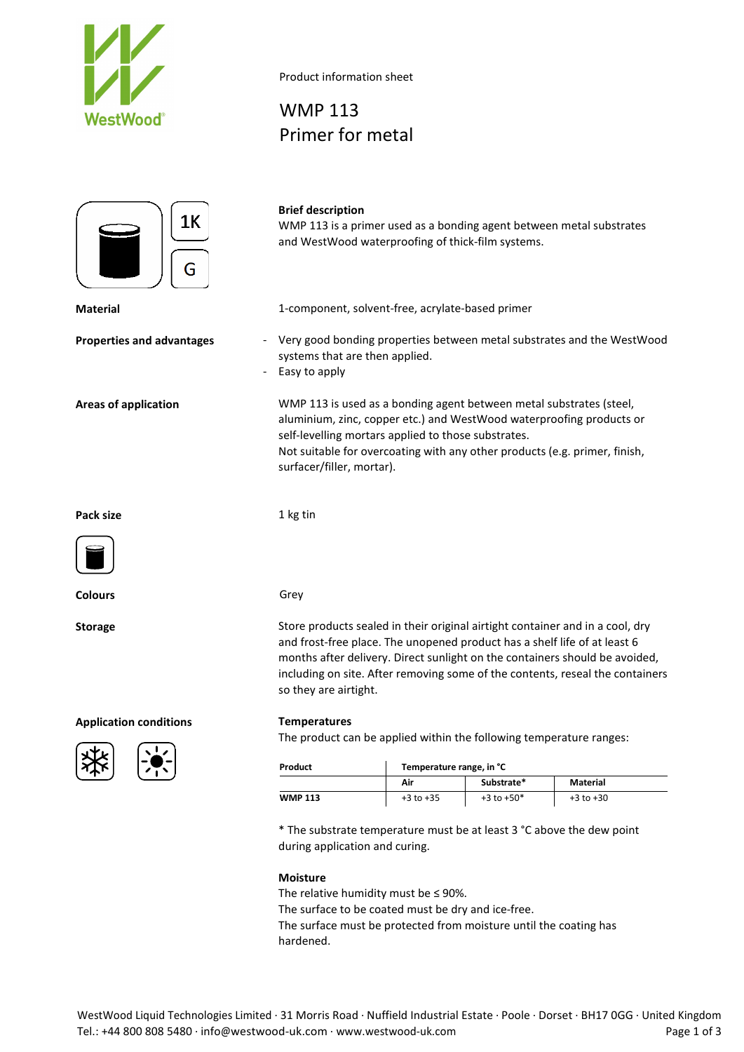

1K G

### **Brief description**

WMP 113

Product information sheet

Primer for metal

WMP 113 is a primer used as a bonding agent between metal substrates and WestWood waterproofing of thick-film systems.

**Material** 1-component, solvent-free, acrylate-based primer

- **Properties and advantages** Very good bonding properties between metal substrates and the WestWood systems that are then applied.
	- Easy to apply

**Areas of application** WMP 113 is used as a bonding agent between metal substrates (steel, aluminium, zinc, copper etc.) and WestWood waterproofing products or self-levelling mortars applied to those substrates. Not suitable for overcoating with any other products (e.g. primer, finish, surfacer/filler, mortar).

**Pack size** 1 kg tin



**Colours** Grey

**Application conditions Temperatures**



**Storage** Store products sealed in their original airtight container and in a cool, dry and frost-free place. The unopened product has a shelf life of at least 6 months after delivery. Direct sunlight on the containers should be avoided, including on site. After removing some of the contents, reseal the containers so they are airtight.

The product can be applied within the following temperature ranges:

| Product        | Temperature range, in °C |                |               |  |
|----------------|--------------------------|----------------|---------------|--|
|                | Air                      | Substrate*     | Material      |  |
| <b>WMP 113</b> | $+3$ to $+35$            | $+3$ to $+50*$ | $+3$ to $+30$ |  |

\* The substrate temperature must be at least 3 °C above the dew point during application and curing.

### **Moisture**

The relative humidity must be ≤ 90%.

The surface to be coated must be dry and ice-free.

The surface must be protected from moisture until the coating has hardened.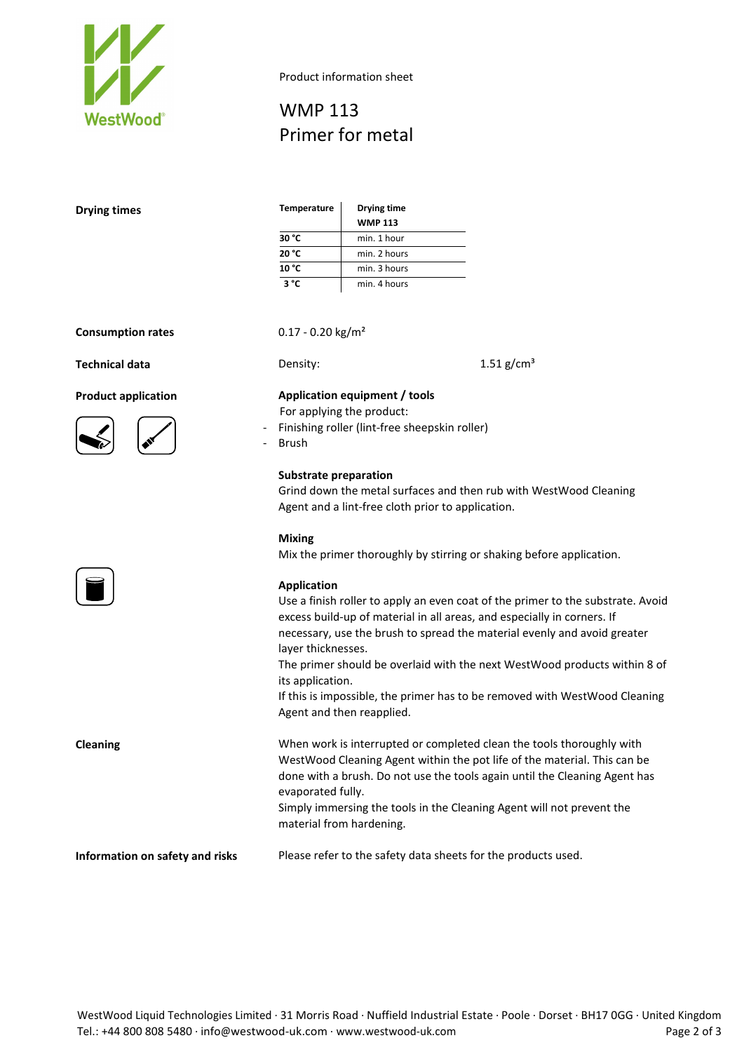

Product information sheet

# WMP 113 Primer for metal

| <b>Drying times</b>                                                             | <b>Temperature</b>                                                                                                                                                                                                                                                                                                                                      | Drying time<br><b>WMP 113</b>                                                                                                                                                                                                                                                                                                                                                                                                  |  |
|---------------------------------------------------------------------------------|---------------------------------------------------------------------------------------------------------------------------------------------------------------------------------------------------------------------------------------------------------------------------------------------------------------------------------------------------------|--------------------------------------------------------------------------------------------------------------------------------------------------------------------------------------------------------------------------------------------------------------------------------------------------------------------------------------------------------------------------------------------------------------------------------|--|
|                                                                                 | 30 °C                                                                                                                                                                                                                                                                                                                                                   | min. 1 hour                                                                                                                                                                                                                                                                                                                                                                                                                    |  |
|                                                                                 | 20 °C                                                                                                                                                                                                                                                                                                                                                   | min. 2 hours                                                                                                                                                                                                                                                                                                                                                                                                                   |  |
|                                                                                 | 10 °C                                                                                                                                                                                                                                                                                                                                                   | min. 3 hours                                                                                                                                                                                                                                                                                                                                                                                                                   |  |
|                                                                                 | $3^{\circ}C$                                                                                                                                                                                                                                                                                                                                            | min. 4 hours                                                                                                                                                                                                                                                                                                                                                                                                                   |  |
| <b>Consumption rates</b><br><b>Technical data</b><br><b>Product application</b> | $0.17 - 0.20$ kg/m <sup>2</sup><br>1.51 $g/cm^{3}$<br>Density:<br>Application equipment / tools<br>For applying the product:<br>Finishing roller (lint-free sheepskin roller)<br><b>Brush</b><br><b>Substrate preparation</b><br>Grind down the metal surfaces and then rub with WestWood Cleaning<br>Agent and a lint-free cloth prior to application. |                                                                                                                                                                                                                                                                                                                                                                                                                                |  |
|                                                                                 | <b>Mixing</b><br>Mix the primer thoroughly by stirring or shaking before application.                                                                                                                                                                                                                                                                   |                                                                                                                                                                                                                                                                                                                                                                                                                                |  |
|                                                                                 | <b>Application</b><br>layer thicknesses.<br>its application.                                                                                                                                                                                                                                                                                            | Use a finish roller to apply an even coat of the primer to the substrate. Avoid<br>excess build-up of material in all areas, and especially in corners. If<br>necessary, use the brush to spread the material evenly and avoid greater<br>The primer should be overlaid with the next WestWood products within 8 of<br>If this is impossible, the primer has to be removed with WestWood Cleaning<br>Agent and then reapplied. |  |
| <b>Cleaning</b>                                                                 | evaporated fully.<br>material from hardening.                                                                                                                                                                                                                                                                                                           | When work is interrupted or completed clean the tools thoroughly with<br>WestWood Cleaning Agent within the pot life of the material. This can be<br>done with a brush. Do not use the tools again until the Cleaning Agent has<br>Simply immersing the tools in the Cleaning Agent will not prevent the                                                                                                                       |  |
| Information on safety and risks                                                 | Please refer to the safety data sheets for the products used.                                                                                                                                                                                                                                                                                           |                                                                                                                                                                                                                                                                                                                                                                                                                                |  |